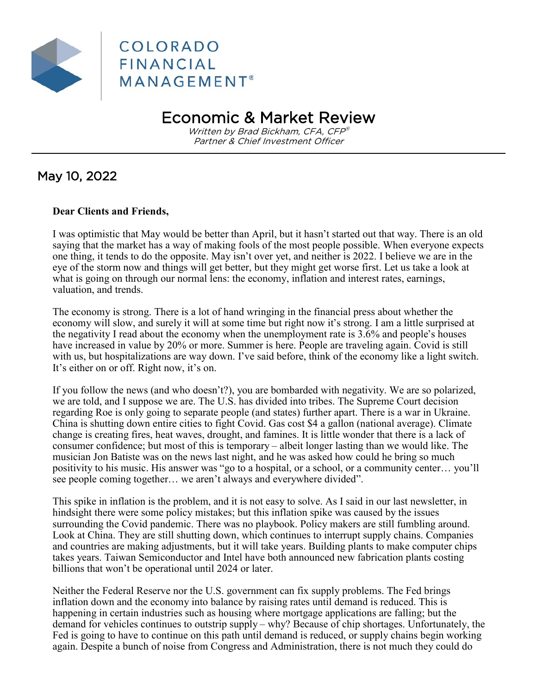

# Economic & Market Review

Written by Brad Bickham, CFA, CFP® Partner & Chief Investment Officer

### May 10, 2022

### **Dear Clients and Friends,**

I was optimistic that May would be better than April, but it hasn't started out that way. There is an old saying that the market has a way of making fools of the most people possible. When everyone expects one thing, it tends to do the opposite. May isn't over yet, and neither is 2022. I believe we are in the eye of the storm now and things will get better, but they might get worse first. Let us take a look at what is going on through our normal lens: the economy, inflation and interest rates, earnings, valuation, and trends.

The economy is strong. There is a lot of hand wringing in the financial press about whether the economy will slow, and surely it will at some time but right now it's strong. I am a little surprised at the negativity I read about the economy when the unemployment rate is 3.6% and people's houses have increased in value by 20% or more. Summer is here. People are traveling again. Covid is still with us, but hospitalizations are way down. I've said before, think of the economy like a light switch. It's either on or off. Right now, it's on.

If you follow the news (and who doesn't?), you are bombarded with negativity. We are so polarized, we are told, and I suppose we are. The U.S. has divided into tribes. The Supreme Court decision regarding Roe is only going to separate people (and states) further apart. There is a war in Ukraine. China is shutting down entire cities to fight Covid. Gas cost \$4 a gallon (national average). Climate change is creating fires, heat waves, drought, and famines. It is little wonder that there is a lack of consumer confidence; but most of this is temporary – albeit longer lasting than we would like. The musician Jon Batiste was on the news last night, and he was asked how could he bring so much positivity to his music. His answer was "go to a hospital, or a school, or a community center… you'll see people coming together… we aren't always and everywhere divided".

This spike in inflation is the problem, and it is not easy to solve. As I said in our last newsletter, in hindsight there were some policy mistakes; but this inflation spike was caused by the issues surrounding the Covid pandemic. There was no playbook. Policy makers are still fumbling around. Look at China. They are still shutting down, which continues to interrupt supply chains. Companies and countries are making adjustments, but it will take years. Building plants to make computer chips takes years. Taiwan Semiconductor and Intel have both announced new fabrication plants costing billions that won't be operational until 2024 or later.

Neither the Federal Reserve nor the U.S. government can fix supply problems. The Fed brings inflation down and the economy into balance by raising rates until demand is reduced. This is happening in certain industries such as housing where mortgage applications are falling; but the demand for vehicles continues to outstrip supply – why? Because of chip shortages. Unfortunately, the Fed is going to have to continue on this path until demand is reduced, or supply chains begin working again. Despite a bunch of noise from Congress and Administration, there is not much they could do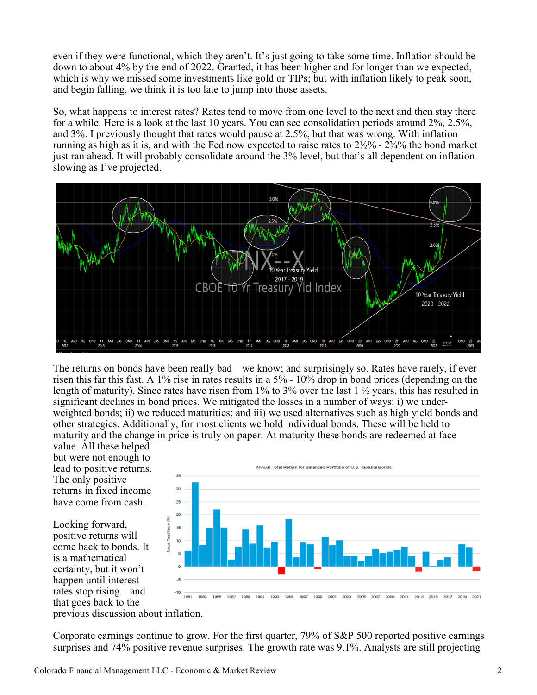even if they were functional, which they aren't. It's just going to take some time. Inflation should be down to about 4% by the end of 2022. Granted, it has been higher and for longer than we expected, which is why we missed some investments like gold or TIPs; but with inflation likely to peak soon, and begin falling, we think it is too late to jump into those assets.

So, what happens to interest rates? Rates tend to move from one level to the next and then stay there for a while. Here is a look at the last 10 years. You can see consolidation periods around 2%, 2.5%, and 3%. I previously thought that rates would pause at 2.5%, but that was wrong. With inflation running as high as it is, and with the Fed now expected to raise rates to 2½% - 2¾% the bond market just ran ahead. It will probably consolidate around the 3% level, but that's all dependent on inflation slowing as I've projected.



The returns on bonds have been really bad – we know; and surprisingly so. Rates have rarely, if ever risen this far this fast. A 1% rise in rates results in a 5% - 10% drop in bond prices (depending on the length of maturity). Since rates have risen from  $1\%$  to  $3\%$  over the last  $1\%$  years, this has resulted in significant declines in bond prices. We mitigated the losses in a number of ways: i) we underweighted bonds; ii) we reduced maturities; and iii) we used alternatives such as high yield bonds and other strategies. Additionally, for most clients we hold individual bonds. These will be held to maturity and the change in price is truly on paper. At maturity these bonds are redeemed at face

value. All these helped but were not enough to lead to positive returns. The only positive returns in fixed income have come from cash.

Looking forward, positive returns will come back to bonds. It is a mathematical certainty, but it won't happen until interest rates stop rising – and that goes back to the



previous discussion about inflation.

Corporate earnings continue to grow. For the first quarter, 79% of S&P 500 reported positive earnings surprises and 74% positive revenue surprises. The growth rate was 9.1%. Analysts are still projecting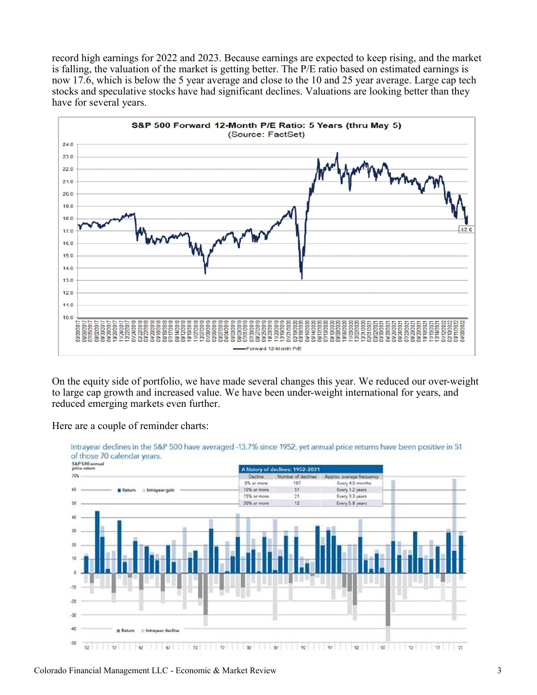record high earnings for 2022 and 2023. Because earnings are expected to keep rising, and the market is falling, the valuation of the market is getting better. The P/E ratio based on estimated earnings is now 17.6, which is below the 5 year average and close to the 10 and 25 year average. Large cap tech stocks and speculative stocks have had significant declines. Valuations are looking better than they have for several years.



On the equity side of portfolio, we have made several changes this year. We reduced our over-weight to large cap growth and increased value. We have been under-weight international for years, and reduced emerging markets even further.

Here are a couple of reminder charts:



Colorado Financial Management LLC - Economic & Market Review 3